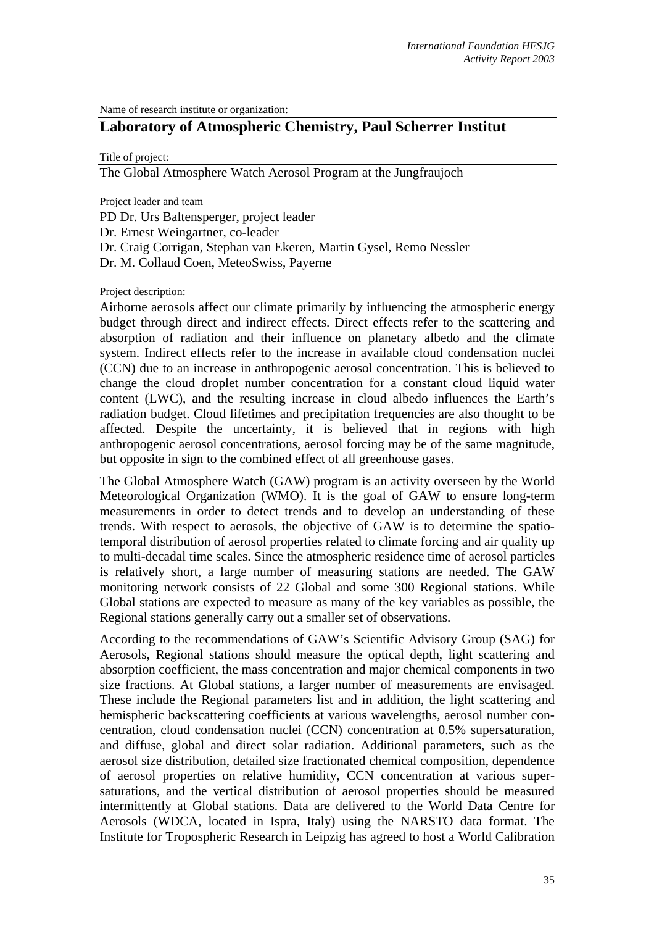Name of research institute or organization:

# **Laboratory of Atmospheric Chemistry, Paul Scherrer Institut**

Title of project:

The Global Atmosphere Watch Aerosol Program at the Jungfraujoch

Project leader and team

PD Dr. Urs Baltensperger, project leader

Dr. Ernest Weingartner, co-leader

- Dr. Craig Corrigan, Stephan van Ekeren, Martin Gysel, Remo Nessler
- Dr. M. Collaud Coen, MeteoSwiss, Payerne

#### Project description:

Airborne aerosols affect our climate primarily by influencing the atmospheric energy budget through direct and indirect effects. Direct effects refer to the scattering and absorption of radiation and their influence on planetary albedo and the climate system. Indirect effects refer to the increase in available cloud condensation nuclei (CCN) due to an increase in anthropogenic aerosol concentration. This is believed to change the cloud droplet number concentration for a constant cloud liquid water content (LWC), and the resulting increase in cloud albedo influences the Earth's radiation budget. Cloud lifetimes and precipitation frequencies are also thought to be affected. Despite the uncertainty, it is believed that in regions with high anthropogenic aerosol concentrations, aerosol forcing may be of the same magnitude, but opposite in sign to the combined effect of all greenhouse gases.

The Global Atmosphere Watch (GAW) program is an activity overseen by the World Meteorological Organization (WMO). It is the goal of GAW to ensure long-term measurements in order to detect trends and to develop an understanding of these trends. With respect to aerosols, the objective of GAW is to determine the spatiotemporal distribution of aerosol properties related to climate forcing and air quality up to multi-decadal time scales. Since the atmospheric residence time of aerosol particles is relatively short, a large number of measuring stations are needed. The GAW monitoring network consists of 22 Global and some 300 Regional stations. While Global stations are expected to measure as many of the key variables as possible, the Regional stations generally carry out a smaller set of observations.

According to the recommendations of GAW's Scientific Advisory Group (SAG) for Aerosols, Regional stations should measure the optical depth, light scattering and absorption coefficient, the mass concentration and major chemical components in two size fractions. At Global stations, a larger number of measurements are envisaged. These include the Regional parameters list and in addition, the light scattering and hemispheric backscattering coefficients at various wavelengths, aerosol number concentration, cloud condensation nuclei (CCN) concentration at 0.5% supersaturation, and diffuse, global and direct solar radiation. Additional parameters, such as the aerosol size distribution, detailed size fractionated chemical composition, dependence of aerosol properties on relative humidity, CCN concentration at various supersaturations, and the vertical distribution of aerosol properties should be measured intermittently at Global stations. Data are delivered to the World Data Centre for Aerosols (WDCA, located in Ispra, Italy) using the NARSTO data format. The Institute for Tropospheric Research in Leipzig has agreed to host a World Calibration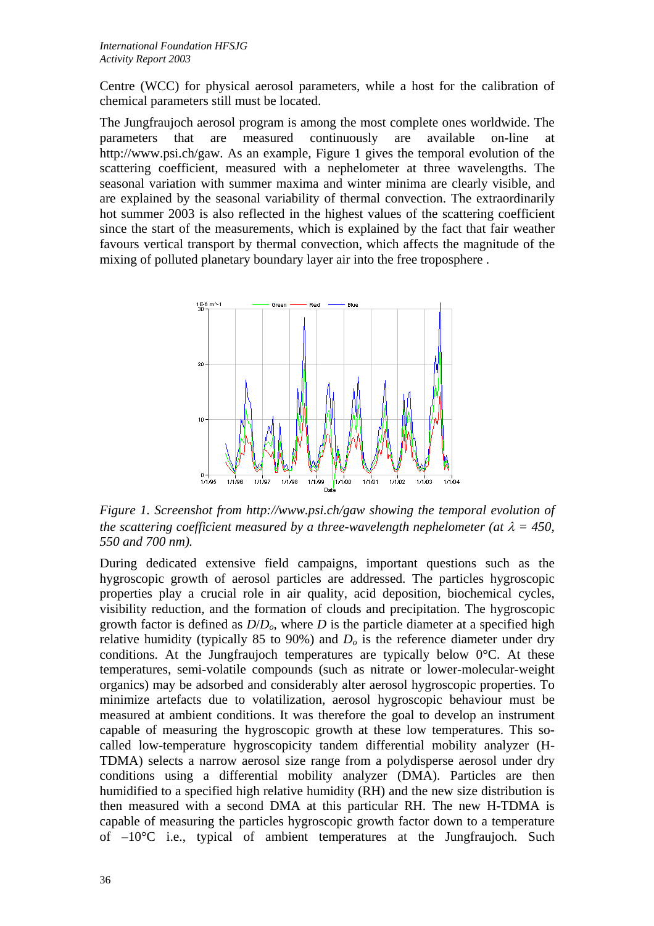Centre (WCC) for physical aerosol parameters, while a host for the calibration of chemical parameters still must be located.

The Jungfraujoch aerosol program is among the most complete ones worldwide. The parameters that are measured continuously are available on-line at http://www.psi.ch/gaw. As an example, Figure 1 gives the temporal evolution of the scattering coefficient, measured with a nephelometer at three wavelengths. The seasonal variation with summer maxima and winter minima are clearly visible, and are explained by the seasonal variability of thermal convection. The extraordinarily hot summer 2003 is also reflected in the highest values of the scattering coefficient since the start of the measurements, which is explained by the fact that fair weather favours vertical transport by thermal convection, which affects the magnitude of the mixing of polluted planetary boundary layer air into the free troposphere .



*Figure 1. Screenshot from http://www.psi.ch/gaw showing the temporal evolution of the scattering coefficient measured by a three-wavelength nephelometer (at*  $\lambda = 450$ , *550 and 700 nm).*

During dedicated extensive field campaigns, important questions such as the hygroscopic growth of aerosol particles are addressed. The particles hygroscopic properties play a crucial role in air quality, acid deposition, biochemical cycles, visibility reduction, and the formation of clouds and precipitation. The hygroscopic growth factor is defined as  $D/D<sub>o</sub>$ , where  $D$  is the particle diameter at a specified high relative humidity (typically 85 to 90%) and  $D<sub>o</sub>$  is the reference diameter under dry conditions. At the Jungfraujoch temperatures are typically below 0°C. At these temperatures, semi-volatile compounds (such as nitrate or lower-molecular-weight organics) may be adsorbed and considerably alter aerosol hygroscopic properties. To minimize artefacts due to volatilization, aerosol hygroscopic behaviour must be measured at ambient conditions. It was therefore the goal to develop an instrument capable of measuring the hygroscopic growth at these low temperatures. This socalled low-temperature hygroscopicity tandem differential mobility analyzer (H-TDMA) selects a narrow aerosol size range from a polydisperse aerosol under dry conditions using a differential mobility analyzer (DMA). Particles are then humidified to a specified high relative humidity (RH) and the new size distribution is then measured with a second DMA at this particular RH. The new H-TDMA is capable of measuring the particles hygroscopic growth factor down to a temperature of  $-10^{\circ}$ C i.e., typical of ambient temperatures at the Jungfraujoch. Such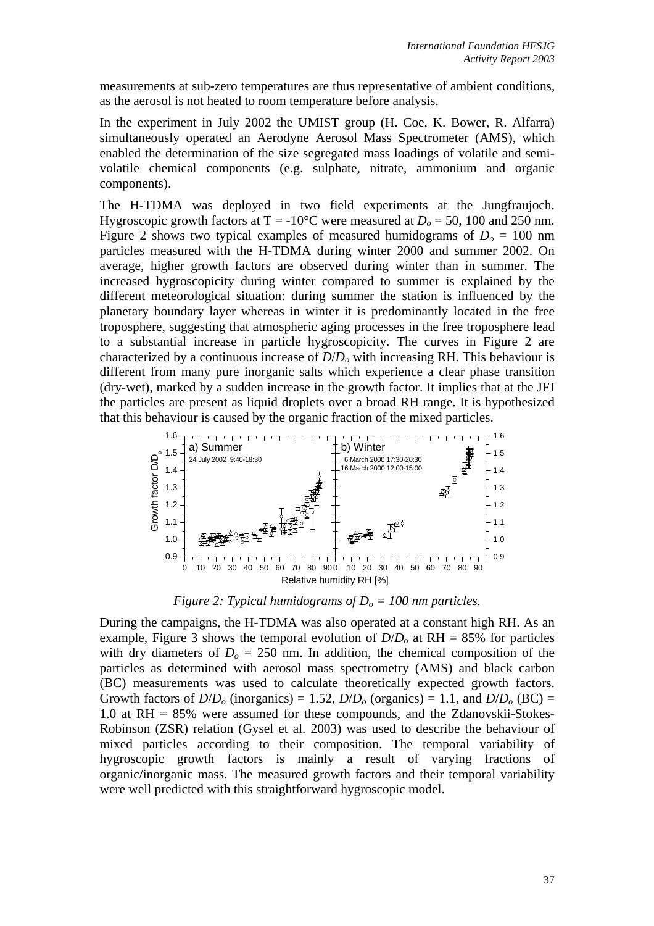measurements at sub-zero temperatures are thus representative of ambient conditions, as the aerosol is not heated to room temperature before analysis.

In the experiment in July 2002 the UMIST group (H. Coe, K. Bower, R. Alfarra) simultaneously operated an Aerodyne Aerosol Mass Spectrometer (AMS), which enabled the determination of the size segregated mass loadings of volatile and semivolatile chemical components (e.g. sulphate, nitrate, ammonium and organic components).

The H-TDMA was deployed in two field experiments at the Jungfraujoch. Hygroscopic growth factors at  $T = -10^{\circ}$ C were measured at  $D_0 = 50$ , 100 and 250 nm. Figure 2 shows two typical examples of measured humidograms of  $D_0 = 100$  nm particles measured with the H-TDMA during winter 2000 and summer 2002. On average, higher growth factors are observed during winter than in summer. The increased hygroscopicity during winter compared to summer is explained by the different meteorological situation: during summer the station is influenced by the planetary boundary layer whereas in winter it is predominantly located in the free troposphere, suggesting that atmospheric aging processes in the free troposphere lead to a substantial increase in particle hygroscopicity. The curves in Figure 2 are characterized by a continuous increase of *D*/*Do* with increasing RH. This behaviour is different from many pure inorganic salts which experience a clear phase transition (dry-wet), marked by a sudden increase in the growth factor. It implies that at the JFJ the particles are present as liquid droplets over a broad RH range. It is hypothesized that this behaviour is caused by the organic fraction of the mixed particles.



*Figure 2: Typical humidograms of*  $D<sub>o</sub> = 100$  *nm particles.* 

During the campaigns, the H-TDMA was also operated at a constant high RH. As an example, Figure 3 shows the temporal evolution of  $D/D<sub>o</sub>$  at RH = 85% for particles with dry diameters of  $D<sub>o</sub> = 250$  nm. In addition, the chemical composition of the particles as determined with aerosol mass spectrometry (AMS) and black carbon (BC) measurements was used to calculate theoretically expected growth factors. Growth factors of  $D/D<sub>o</sub>$  (inorganics) = 1.52,  $D/D<sub>o</sub>$  (organics) = 1.1, and  $D/D<sub>o</sub>$  (BC) = 1.0 at RH = 85% were assumed for these compounds, and the Zdanovskii-Stokes-Robinson (ZSR) relation (Gysel et al. 2003) was used to describe the behaviour of mixed particles according to their composition. The temporal variability of hygroscopic growth factors is mainly a result of varying fractions of organic/inorganic mass. The measured growth factors and their temporal variability were well predicted with this straightforward hygroscopic model.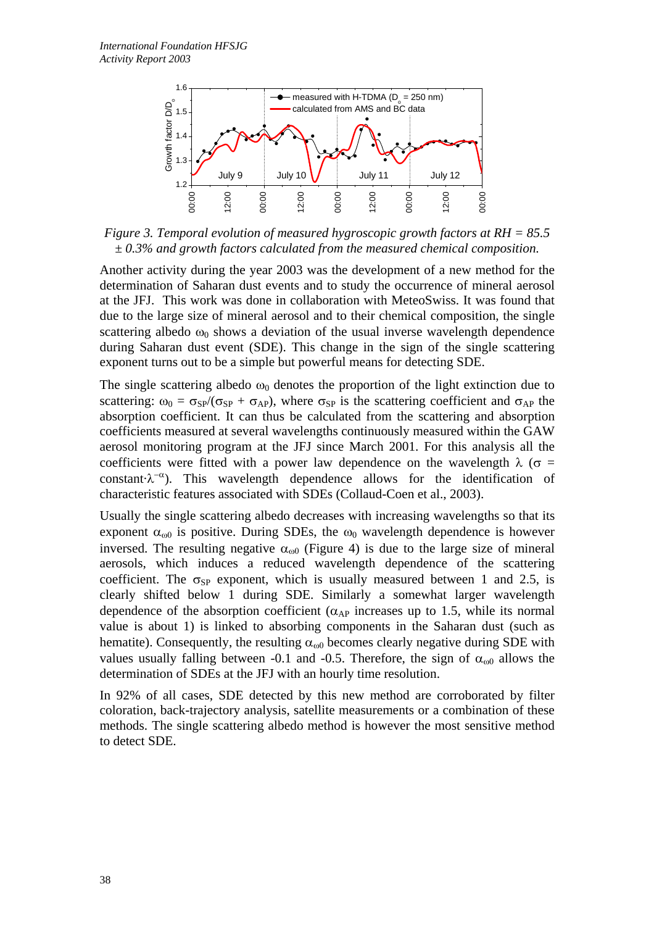

*Figure 3. Temporal evolution of measured hygroscopic growth factors at RH = 85.5 ± 0.3% and growth factors calculated from the measured chemical composition.* 

Another activity during the year 2003 was the development of a new method for the determination of Saharan dust events and to study the occurrence of mineral aerosol at the JFJ. This work was done in collaboration with MeteoSwiss. It was found that due to the large size of mineral aerosol and to their chemical composition, the single scattering albedo  $\omega_0$  shows a deviation of the usual inverse wavelength dependence during Saharan dust event (SDE). This change in the sign of the single scattering exponent turns out to be a simple but powerful means for detecting SDE.

The single scattering albedo  $\omega_0$  denotes the proportion of the light extinction due to scattering:  $\omega_0 = \sigma_{SP}/(\sigma_{SP} + \sigma_{AP})$ , where  $\sigma_{SP}$  is the scattering coefficient and  $\sigma_{AP}$  the absorption coefficient. It can thus be calculated from the scattering and absorption coefficients measured at several wavelengths continuously measured within the GAW aerosol monitoring program at the JFJ since March 2001. For this analysis all the coefficients were fitted with a power law dependence on the wavelength  $\lambda$  ( $\sigma$  = constant $\lambda^{-\alpha}$ ). This wavelength dependence allows for the identification of characteristic features associated with SDEs (Collaud-Coen et al., 2003).

Usually the single scattering albedo decreases with increasing wavelengths so that its exponent  $\alpha_{\omega 0}$  is positive. During SDEs, the  $\omega_0$  wavelength dependence is however inversed. The resulting negative  $\alpha_{\omega 0}$  (Figure 4) is due to the large size of mineral aerosols, which induces a reduced wavelength dependence of the scattering coefficient. The  $\sigma_{SP}$  exponent, which is usually measured between 1 and 2.5, is clearly shifted below 1 during SDE. Similarly a somewhat larger wavelength dependence of the absorption coefficient ( $\alpha_{AP}$  increases up to 1.5, while its normal value is about 1) is linked to absorbing components in the Saharan dust (such as hematite). Consequently, the resulting  $\alpha_{\omega 0}$  becomes clearly negative during SDE with values usually falling between -0.1 and -0.5. Therefore, the sign of  $\alpha_{\omega 0}$  allows the determination of SDEs at the JFJ with an hourly time resolution.

In 92% of all cases, SDE detected by this new method are corroborated by filter coloration, back-trajectory analysis, satellite measurements or a combination of these methods. The single scattering albedo method is however the most sensitive method to detect SDE.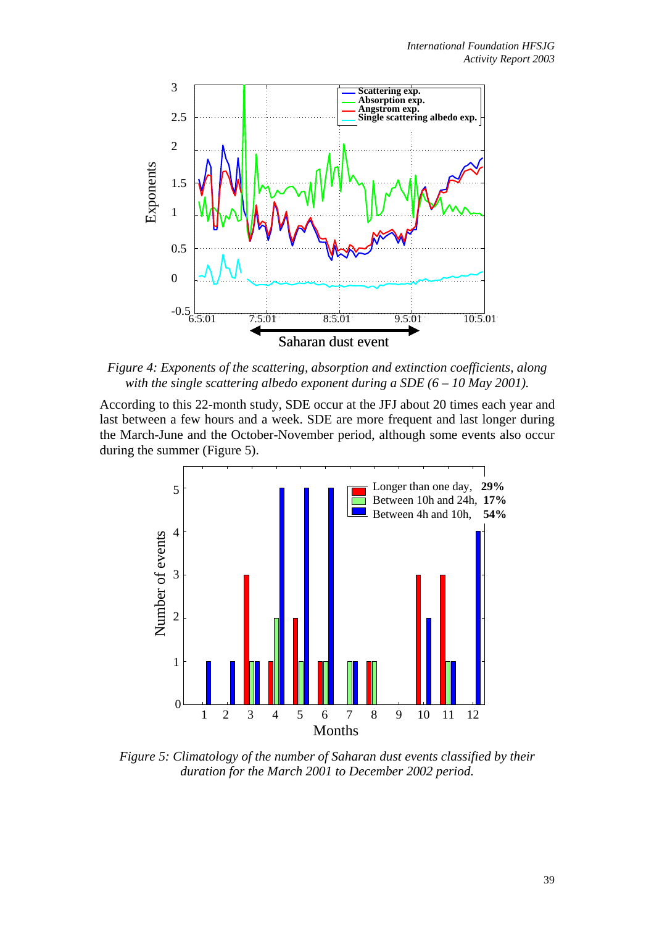

*Figure 4: Exponents of the scattering, absorption and extinction coefficients, along with the single scattering albedo exponent during a SDE (6 – 10 May 2001).* 

According to this 22-month study, SDE occur at the JFJ about 20 times each year and last between a few hours and a week. SDE are more frequent and last longer during the March-June and the October-November period, although some events also occur during the summer (Figure 5).



*Figure 5: Climatology of the number of Saharan dust events classified by their duration for the March 2001 to December 2002 period.*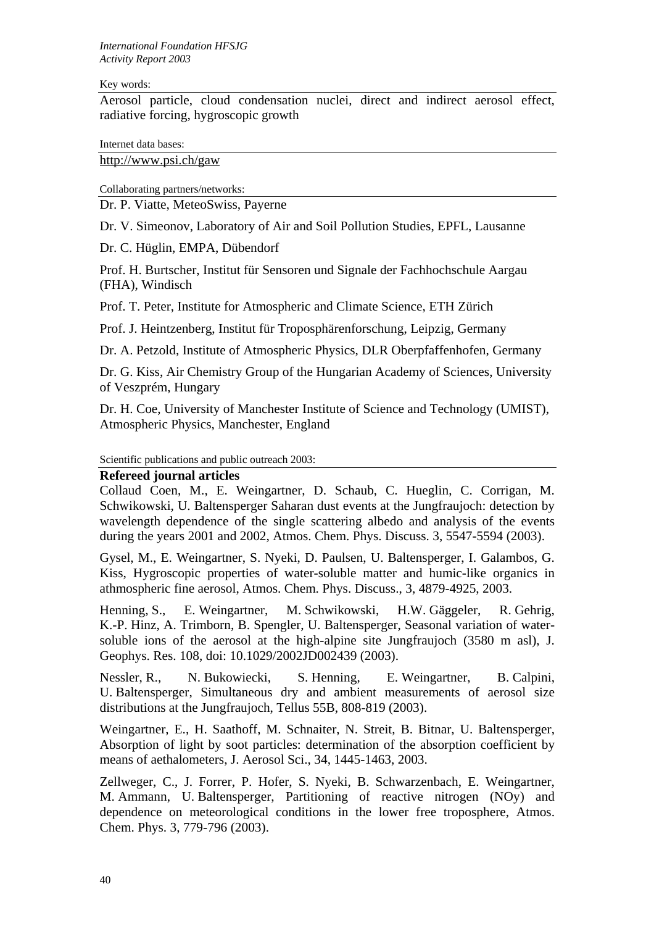#### Key words:

Aerosol particle, cloud condensation nuclei, direct and indirect aerosol effect, radiative forcing, hygroscopic growth

Internet data bases:

[http://www.psi.ch/gaw](http://psi.ch/gaw)

Collaborating partners/networks:

Dr. P. Viatte, MeteoSwiss, Payerne

Dr. V. Simeonov, Laboratory of Air and Soil Pollution Studies, EPFL, Lausanne

Dr. C. Hüglin, EMPA, Dübendorf

Prof. H. Burtscher, Institut für Sensoren und Signale der Fachhochschule Aargau (FHA), Windisch

Prof. T. Peter, Institute for Atmospheric and Climate Science, ETH Zürich

Prof. J. Heintzenberg, Institut für Troposphärenforschung, Leipzig, Germany

Dr. A. Petzold, Institute of Atmospheric Physics, DLR Oberpfaffenhofen, Germany

Dr. G. Kiss, Air Chemistry Group of the Hungarian Academy of Sciences, University of Veszprém, Hungary

Dr. H. Coe, University of Manchester Institute of Science and Technology (UMIST), Atmospheric Physics, Manchester, England

Scientific publications and public outreach 2003:

## **Refereed journal articles**

Collaud Coen, M., E. Weingartner, D. Schaub, C. Hueglin, C. Corrigan, M. Schwikowski, U. Baltensperger Saharan dust events at the Jungfraujoch: detection by wavelength dependence of the single scattering albedo and analysis of the events during the years 2001 and 2002, Atmos. Chem. Phys. Discuss. 3, 5547-5594 (2003).

Gysel, M., E. Weingartner, S. Nyeki, D. Paulsen, U. Baltensperger, I. Galambos, G. Kiss, Hygroscopic properties of water-soluble matter and humic-like organics in athmospheric fine aerosol, Atmos. Chem. Phys. Discuss., 3, 4879-4925, 2003.

Henning, S., E. Weingartner, M. Schwikowski, H.W. Gäggeler, R. Gehrig, K.-P. Hinz, A. Trimborn, B. Spengler, U. Baltensperger, Seasonal variation of watersoluble ions of the aerosol at the high-alpine site Jungfraujoch (3580 m asl), J. Geophys. Res. 108, doi: 10.1029/2002JD002439 (2003).

Nessler, R., N. Bukowiecki, S. Henning, E. Weingartner, B. Calpini, U. Baltensperger, Simultaneous dry and ambient measurements of aerosol size distributions at the Jungfraujoch, Tellus 55B, 808-819 (2003).

Weingartner, E., H. Saathoff, M. Schnaiter, N. Streit, B. Bitnar, U. Baltensperger, Absorption of light by soot particles: determination of the absorption coefficient by means of aethalometers, J. Aerosol Sci., 34, 1445-1463, 2003.

Zellweger, C., J. Forrer, P. Hofer, S. Nyeki, B. Schwarzenbach, E. Weingartner, M. Ammann, U. Baltensperger, Partitioning of reactive nitrogen (NOy) and dependence on meteorological conditions in the lower free troposphere, Atmos. Chem. Phys. 3, 779-796 (2003).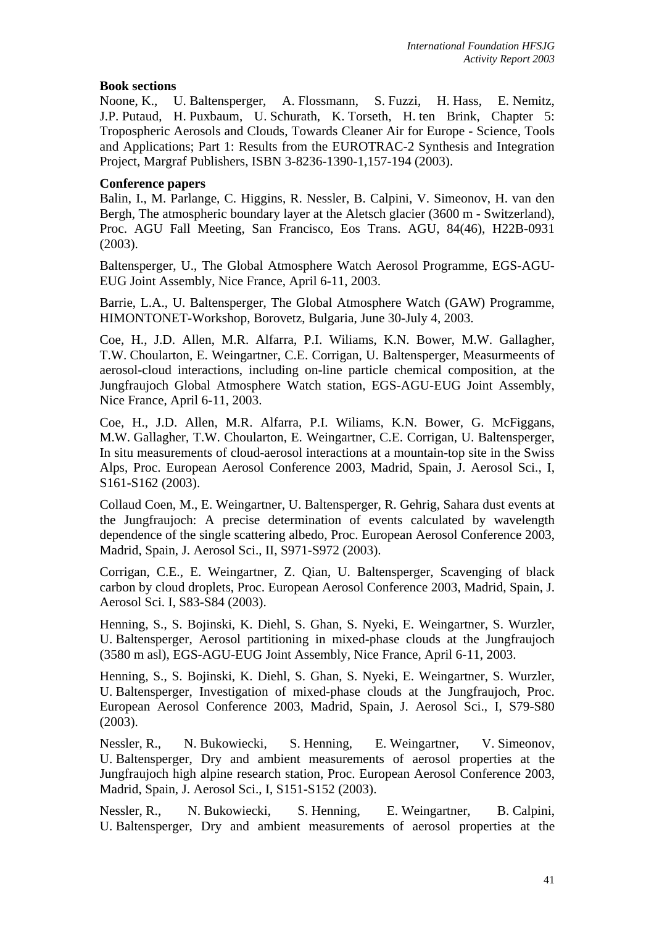### **Book sections**

Noone, K., U. Baltensperger, A. Flossmann, S. Fuzzi, H. Hass, E. Nemitz, J.P. Putaud, H. Puxbaum, U. Schurath, K. Torseth, H. ten Brink, Chapter 5: Tropospheric Aerosols and Clouds, Towards Cleaner Air for Europe - Science, Tools and Applications; Part 1: Results from the EUROTRAC-2 Synthesis and Integration Project, Margraf Publishers, ISBN 3-8236-1390-1,157-194 (2003).

### **Conference papers**

Balin, I., M. Parlange, C. Higgins, R. Nessler, B. Calpini, V. Simeonov, H. van den Bergh, The atmospheric boundary layer at the Aletsch glacier (3600 m - Switzerland), Proc. AGU Fall Meeting, San Francisco, Eos Trans. AGU, 84(46), H22B-0931 (2003).

Baltensperger, U., The Global Atmosphere Watch Aerosol Programme, EGS-AGU-EUG Joint Assembly, Nice France, April 6-11, 2003.

Barrie, L.A., U. Baltensperger, The Global Atmosphere Watch (GAW) Programme, HIMONTONET-Workshop, Borovetz, Bulgaria, June 30-July 4, 2003.

Coe, H., J.D. Allen, M.R. Alfarra, P.I. Wiliams, K.N. Bower, M.W. Gallagher, T.W. Choularton, E. Weingartner, C.E. Corrigan, U. Baltensperger, Measurmeents of aerosol-cloud interactions, including on-line particle chemical composition, at the Jungfraujoch Global Atmosphere Watch station, EGS-AGU-EUG Joint Assembly, Nice France, April 6-11, 2003.

Coe, H., J.D. Allen, M.R. Alfarra, P.I. Wiliams, K.N. Bower, G. McFiggans, M.W. Gallagher, T.W. Choularton, E. Weingartner, C.E. Corrigan, U. Baltensperger, In situ measurements of cloud-aerosol interactions at a mountain-top site in the Swiss Alps, Proc. European Aerosol Conference 2003, Madrid, Spain, J. Aerosol Sci., I, S161-S162 (2003).

Collaud Coen, M., E. Weingartner, U. Baltensperger, R. Gehrig, Sahara dust events at the Jungfraujoch: A precise determination of events calculated by wavelength dependence of the single scattering albedo, Proc. European Aerosol Conference 2003, Madrid, Spain, J. Aerosol Sci., II, S971-S972 (2003).

Corrigan, C.E., E. Weingartner, Z. Qian, U. Baltensperger, Scavenging of black carbon by cloud droplets, Proc. European Aerosol Conference 2003, Madrid, Spain, J. Aerosol Sci. I, S83-S84 (2003).

Henning, S., S. Bojinski, K. Diehl, S. Ghan, S. Nyeki, E. Weingartner, S. Wurzler, U. Baltensperger, Aerosol partitioning in mixed-phase clouds at the Jungfraujoch (3580 m asl), EGS-AGU-EUG Joint Assembly, Nice France, April 6-11, 2003.

Henning, S., S. Bojinski, K. Diehl, S. Ghan, S. Nyeki, E. Weingartner, S. Wurzler, U. Baltensperger, Investigation of mixed-phase clouds at the Jungfraujoch, Proc. European Aerosol Conference 2003, Madrid, Spain, J. Aerosol Sci., I, S79-S80 (2003).

Nessler, R., N. Bukowiecki, S. Henning, E. Weingartner, V. Simeonov, U. Baltensperger, Dry and ambient measurements of aerosol properties at the Jungfraujoch high alpine research station, Proc. European Aerosol Conference 2003, Madrid, Spain, J. Aerosol Sci., I, S151-S152 (2003).

Nessler, R., N. Bukowiecki, S. Henning, E. Weingartner, B. Calpini, U. Baltensperger, Dry and ambient measurements of aerosol properties at the